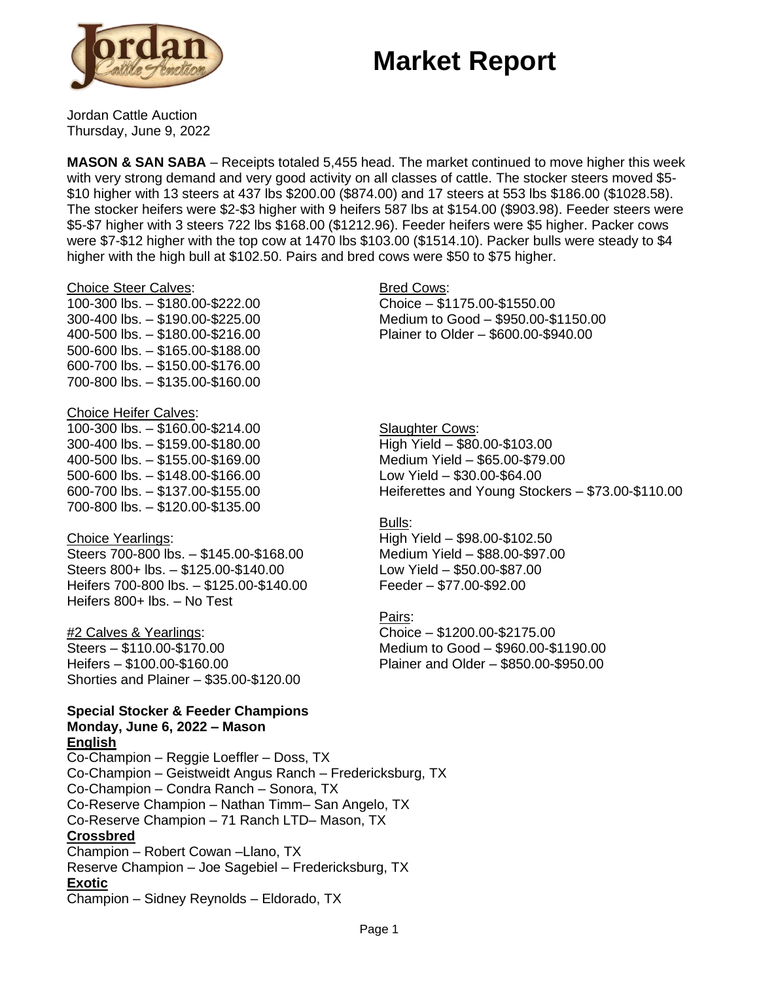# **Market Report**



Jordan Cattle Auction Thursday, June 9, 2022

**MASON & SAN SABA** – Receipts totaled 5,455 head. The market continued to move higher this week with very strong demand and very good activity on all classes of cattle. The stocker steers moved \$5- \$10 higher with 13 steers at 437 lbs \$200.00 (\$874.00) and 17 steers at 553 lbs \$186.00 (\$1028.58). The stocker heifers were \$2-\$3 higher with 9 heifers 587 lbs at \$154.00 (\$903.98). Feeder steers were \$5-\$7 higher with 3 steers 722 lbs \$168.00 (\$1212.96). Feeder heifers were \$5 higher. Packer cows were \$7-\$12 higher with the top cow at 1470 lbs \$103.00 (\$1514.10). Packer bulls were steady to \$4 higher with the high bull at \$102.50. Pairs and bred cows were \$50 to \$75 higher.

#### Choice Steer Calves:

100-300 lbs. – \$180.00-\$222.00 300-400 lbs. – \$190.00-\$225.00 400-500 lbs. – \$180.00-\$216.00 500-600 lbs. – \$165.00-\$188.00 600-700 lbs. – \$150.00-\$176.00 700-800 lbs. – \$135.00-\$160.00

### Choice Heifer Calves:

100-300 lbs. – \$160.00-\$214.00 300-400 lbs. – \$159.00-\$180.00 400-500 lbs. – \$155.00-\$169.00 500-600 lbs. – \$148.00-\$166.00 600-700 lbs. – \$137.00-\$155.00 700-800 lbs. – \$120.00-\$135.00

## Choice Yearlings:

Steers 700-800 lbs. – \$145.00-\$168.00 Steers 800+ lbs. – \$125.00-\$140.00 Heifers 700-800 lbs. – \$125.00-\$140.00 Heifers 800+ lbs. – No Test

#2 Calves & Yearlings: Steers – \$110.00-\$170.00 Heifers – \$100.00-\$160.00 Shorties and Plainer – \$35.00-\$120.00

#### **Special Stocker & Feeder Champions Monday, June 6, 2022 – Mason English**

Co-Champion – Reggie Loeffler – Doss, TX Co-Champion – Geistweidt Angus Ranch – Fredericksburg, TX Co-Champion – Condra Ranch – Sonora, TX Co-Reserve Champion – Nathan Timm– San Angelo, TX Co-Reserve Champion – 71 Ranch LTD– Mason, TX **Crossbred** Champion – Robert Cowan –Llano, TX Reserve Champion – Joe Sagebiel – Fredericksburg, TX **Exotic** Champion – Sidney Reynolds – Eldorado, TX

### Bred Cows: Choice – \$1175.00-\$1550.00

Medium to Good – \$950.00-\$1150.00 Plainer to Older – \$600.00-\$940.00

Slaughter Cows: High Yield – \$80.00-\$103.00 Medium Yield – \$65.00-\$79.00 Low Yield – \$30.00-\$64.00 Heiferettes and Young Stockers – \$73.00-\$110.00

## Bulls:

High Yield – \$98.00-\$102.50 Medium Yield – \$88.00-\$97.00 Low Yield – \$50.00-\$87.00 Feeder – \$77.00-\$92.00

## Pairs:

Choice – \$1200.00-\$2175.00 Medium to Good – \$960.00-\$1190.00 Plainer and Older – \$850.00-\$950.00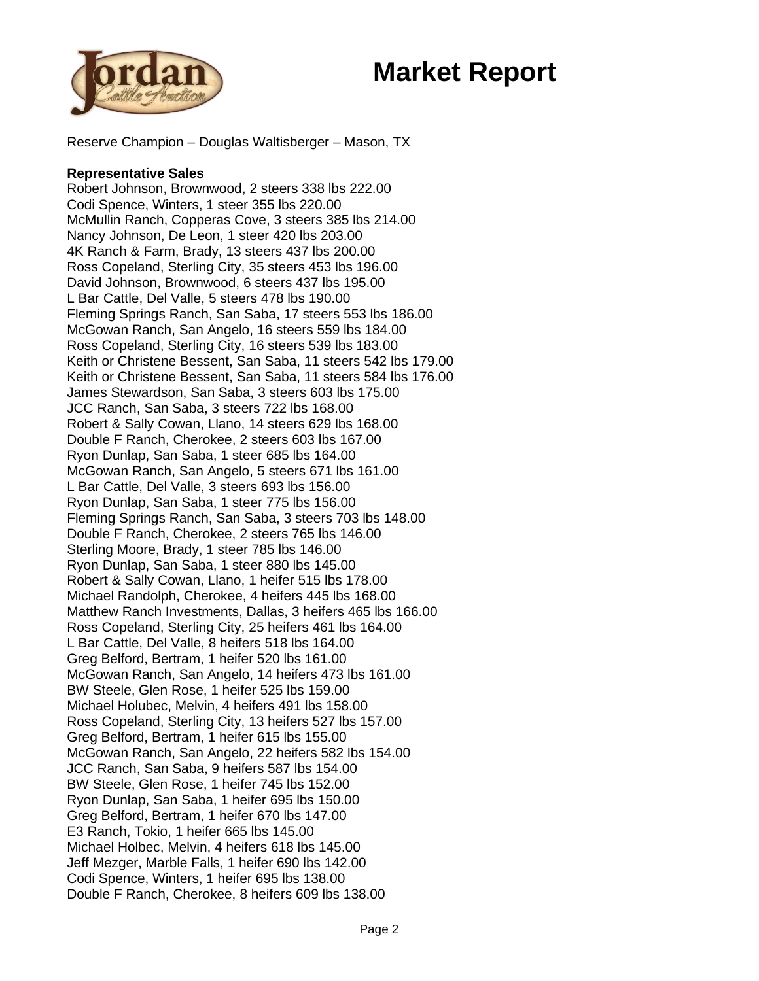



Reserve Champion – Douglas Waltisberger – Mason, TX

#### **Representative Sales**

Robert Johnson, Brownwood, 2 steers 338 lbs 222.00 Codi Spence, Winters, 1 steer 355 lbs 220.00 McMullin Ranch, Copperas Cove, 3 steers 385 lbs 214.00 Nancy Johnson, De Leon, 1 steer 420 lbs 203.00 4K Ranch & Farm, Brady, 13 steers 437 lbs 200.00 Ross Copeland, Sterling City, 35 steers 453 lbs 196.00 David Johnson, Brownwood, 6 steers 437 lbs 195.00 L Bar Cattle, Del Valle, 5 steers 478 lbs 190.00 Fleming Springs Ranch, San Saba, 17 steers 553 lbs 186.00 McGowan Ranch, San Angelo, 16 steers 559 lbs 184.00 Ross Copeland, Sterling City, 16 steers 539 lbs 183.00 Keith or Christene Bessent, San Saba, 11 steers 542 lbs 179.00 Keith or Christene Bessent, San Saba, 11 steers 584 lbs 176.00 James Stewardson, San Saba, 3 steers 603 lbs 175.00 JCC Ranch, San Saba, 3 steers 722 lbs 168.00 Robert & Sally Cowan, Llano, 14 steers 629 lbs 168.00 Double F Ranch, Cherokee, 2 steers 603 lbs 167.00 Ryon Dunlap, San Saba, 1 steer 685 lbs 164.00 McGowan Ranch, San Angelo, 5 steers 671 lbs 161.00 L Bar Cattle, Del Valle, 3 steers 693 lbs 156.00 Ryon Dunlap, San Saba, 1 steer 775 lbs 156.00 Fleming Springs Ranch, San Saba, 3 steers 703 lbs 148.00 Double F Ranch, Cherokee, 2 steers 765 lbs 146.00 Sterling Moore, Brady, 1 steer 785 lbs 146.00 Ryon Dunlap, San Saba, 1 steer 880 lbs 145.00 Robert & Sally Cowan, Llano, 1 heifer 515 lbs 178.00 Michael Randolph, Cherokee, 4 heifers 445 lbs 168.00 Matthew Ranch Investments, Dallas, 3 heifers 465 lbs 166.00 Ross Copeland, Sterling City, 25 heifers 461 lbs 164.00 L Bar Cattle, Del Valle, 8 heifers 518 lbs 164.00 Greg Belford, Bertram, 1 heifer 520 lbs 161.00 McGowan Ranch, San Angelo, 14 heifers 473 lbs 161.00 BW Steele, Glen Rose, 1 heifer 525 lbs 159.00 Michael Holubec, Melvin, 4 heifers 491 lbs 158.00 Ross Copeland, Sterling City, 13 heifers 527 lbs 157.00 Greg Belford, Bertram, 1 heifer 615 lbs 155.00 McGowan Ranch, San Angelo, 22 heifers 582 lbs 154.00 JCC Ranch, San Saba, 9 heifers 587 lbs 154.00 BW Steele, Glen Rose, 1 heifer 745 lbs 152.00 Ryon Dunlap, San Saba, 1 heifer 695 lbs 150.00 Greg Belford, Bertram, 1 heifer 670 lbs 147.00 E3 Ranch, Tokio, 1 heifer 665 lbs 145.00 Michael Holbec, Melvin, 4 heifers 618 lbs 145.00 Jeff Mezger, Marble Falls, 1 heifer 690 lbs 142.00 Codi Spence, Winters, 1 heifer 695 lbs 138.00 Double F Ranch, Cherokee, 8 heifers 609 lbs 138.00